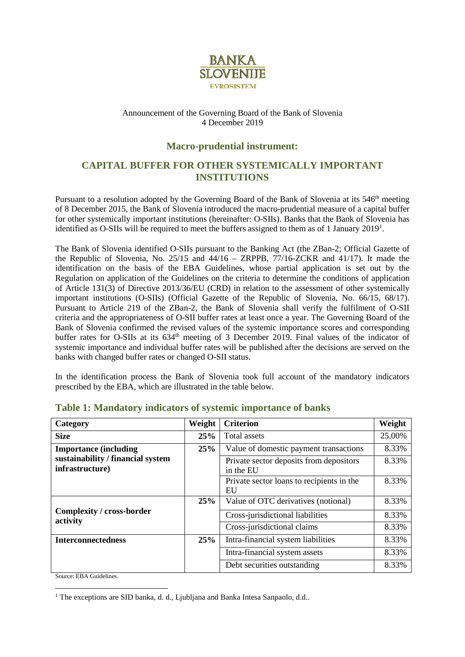

#### Announcement of the Governing Board of the Bank of Slovenia 4 December 2019

#### **Macro-prudential instrument:**

## **CAPITAL BUFFER FOR OTHER SYSTEMICALLY IMPORTANT INSTITUTIONS**

Pursuant to a resolution adopted by the Governing Board of the Bank of Slovenia at its 546<sup>th</sup> meeting of 8 December 2015, the Bank of Slovenia introduced the macro-prudential measure of a capital buffer for other systemically important institutions (hereinafter: O-SIIs). Banks that the Bank of Slovenia has identified as O-SIIs will be required to meet the buffers assigned to them as of [1](#page-0-0) January 2019<sup>1</sup>.

The Bank of Slovenia identified O-SIIs pursuant to the Banking Act (the ZBan-2; Official Gazette of the Republic of Slovenia, No. 25/15 and 44/16 – ZRPPB, 77/16-ZCKR and 41/17). It made the identification on the basis of the EBA Guidelines, whose partial application is set out by the Regulation on application of the Guidelines on the criteria to determine the conditions of application of Article 131(3) of Directive 2013/36/EU (CRD) in relation to the assessment of other systemically important institutions (O-SIIs) (Official Gazette of the Republic of Slovenia, No. 66/15, 68/17). Pursuant to Article 219 of the ZBan-2, the Bank of Slovenia shall verify the fulfilment of O-SII criteria and the appropriateness of O-SII buffer rates at least once a year. The Governing Board of the Bank of Slovenia confirmed the revised values of the systemic importance scores and corresponding buffer rates for O-SIIs at its 634<sup>th</sup> meeting of 3 December 2019. Final values of the indicator of systemic importance and individual buffer rates will be published after the decisions are served on the banks with changed buffer rates or changed O-SII status.

In the identification process the Bank of Slovenia took full account of the mandatory indicators prescribed by the EBA, which are illustrated in the table below.

| Category                                             | Weight | <b>Criterion</b>                                     | Weight |
|------------------------------------------------------|--------|------------------------------------------------------|--------|
| <b>Size</b>                                          | 25%    | Total assets                                         | 25.00% |
| <b>Importance (including</b>                         | 25%    | Value of domestic payment transactions               | 8.33%  |
| sustainability / financial system<br>infrastructure) |        | Private sector deposits from depositors<br>in the EU | 8.33%  |
|                                                      |        | Private sector loans to recipients in the<br>EU      | 8.33%  |
| Complexity / cross-border<br>activity                | 25%    | Value of OTC derivatives (notional)                  | 8.33%  |
|                                                      |        | Cross-jurisdictional liabilities                     | 8.33%  |
|                                                      |        | Cross-jurisdictional claims                          | 8.33%  |
| <b>Interconnectedness</b>                            | 25%    | Intra-financial system liabilities                   | 8.33%  |
|                                                      |        | Intra-financial system assets                        | 8.33%  |
|                                                      |        | Debt securities outstanding                          | 8.33%  |

### **Table 1: Mandatory indicators of systemic importance of banks**

Source: EBA Guidelines.

<span id="page-0-0"></span><sup>&</sup>lt;sup>1</sup> The exceptions are SID banka, d. d., Ljubljana and Banka Intesa Sanpaolo, d.d..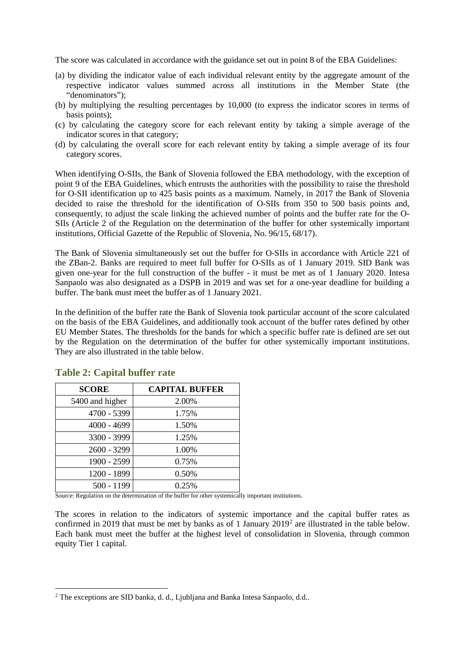The score was calculated in accordance with the guidance set out in point 8 of the EBA Guidelines:

- (a) by dividing the indicator value of each individual relevant entity by the aggregate amount of the respective indicator values summed across all institutions in the Member State (the "denominators");
- (b) by multiplying the resulting percentages by 10,000 (to express the indicator scores in terms of basis points);
- (c) by calculating the category score for each relevant entity by taking a simple average of the indicator scores in that category;
- (d) by calculating the overall score for each relevant entity by taking a simple average of its four category scores.

When identifying O-SIIs, the Bank of Slovenia followed the EBA methodology, with the exception of point 9 of the EBA Guidelines, which entrusts the authorities with the possibility to raise the threshold for O-SII identification up to 425 basis points as a maximum. Namely, in 2017 the Bank of Slovenia decided to raise the threshold for the identification of O-SIIs from 350 to 500 basis points and, consequently, to adjust the scale linking the achieved number of points and the buffer rate for the O-SIIs (Article 2 of the Regulation on the determination of the buffer for other systemically important institutions, Official Gazette of the Republic of Slovenia, No. 96/15, 68/17).

The Bank of Slovenia simultaneously set out the buffer for O-SIIs in accordance with Article 221 of the ZBan-2. Banks are required to meet full buffer for O-SIIs as of 1 January 2019. SID Bank was given one-year for the full construction of the buffer - it must be met as of 1 January 2020. Intesa Sanpaolo was also designated as a DSPB in 2019 and was set for a one-year deadline for building a buffer. The bank must meet the buffer as of 1 January 2021.

In the definition of the buffer rate the Bank of Slovenia took particular account of the score calculated on the basis of the EBA Guidelines, and additionally took account of the buffer rates defined by other EU Member States. The thresholds for the bands for which a specific buffer rate is defined are set out by the Regulation on the determination of the buffer for other systemically important institutions. They are also illustrated in the table below.

| <b>SCORE</b>    | <b>CAPITAL BUFFER</b> |
|-----------------|-----------------------|
| 5400 and higher | 2.00%                 |
| 4700 - 5399     | 1.75%                 |
| $4000 - 4699$   | 1.50%                 |
| 3300 - 3999     | 1.25%                 |
| 2600 - 3299     | 1.00%                 |
| 1900 - 2599     | 0.75%                 |
| 1200 - 1899     | 0.50%                 |
| 500 - 1199      | 0.25%                 |

### **Table 2: Capital buffer rate**

Source: Regulation on the determination of the buffer for other systemically important institutions.

The scores in relation to the indicators of systemic importance and the capital buffer rates as confirmed in [2](#page-1-0)019 that must be met by banks as of 1 January 2019<sup>2</sup> are illustrated in the table below. Each bank must meet the buffer at the highest level of consolidation in Slovenia, through common equity Tier 1 capital.

<span id="page-1-0"></span><sup>&</sup>lt;sup>2</sup> The exceptions are SID banka, d. d., Ljubljana and Banka Intesa Sanpaolo, d.d..